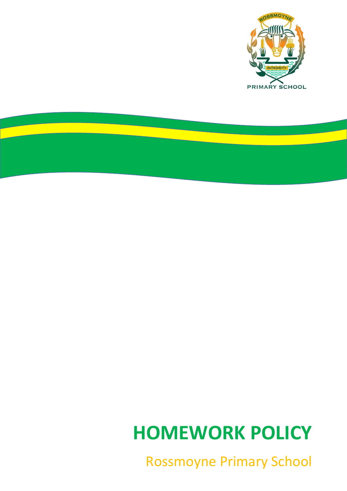

<u>a sa Ba</u>

# **HOMEWORK POLICY**

Rossmoyne Primary School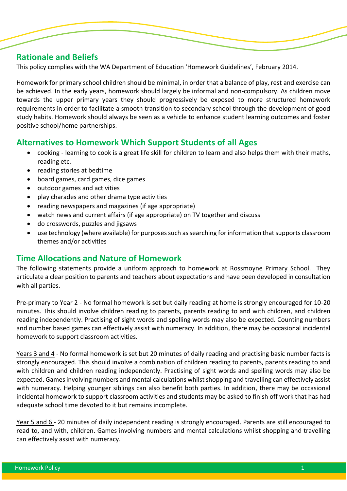## **Rationale and Beliefs**

j

This policy complies with the WA Department of Education 'Homework Guidelines', February 2014.

Homework for primary school children should be minimal, in order that a balance of play, rest and exercise can be achieved. In the early years, homework should largely be informal and non-compulsory. As children move towards the upper primary years they should progressively be exposed to more structured homework requirements in order to facilitate a smooth transition to secondary school through the development of good study habits. Homework should always be seen as a vehicle to enhance student learning outcomes and foster positive school/home partnerships.

# **Alternatives to Homework Which Support Students of all Ages**

- cooking learning to cook is a great life skill for children to learn and also helps them with their maths, reading etc.
- reading stories at bedtime
- board games, card games, dice games
- outdoor games and activities
- play charades and other drama type activities
- reading newspapers and magazines (if age appropriate)
- watch news and current affairs (if age appropriate) on TV together and discuss
- do crosswords, puzzles and jigsaws
- use technology (where available) for purposes such as searching for information that supports classroom themes and/or activities

## **Time Allocations and Nature of Homework**

The following statements provide a uniform approach to homework at Rossmoyne Primary School. They articulate a clear position to parents and teachers about expectations and have been developed in consultation with all parties.

Pre-primary to Year 2 - No formal homework is set but daily reading at home is strongly encouraged for 10-20 minutes. This should involve children reading to parents, parents reading to and with children, and children reading independently. Practising of sight words and spelling words may also be expected. Counting numbers and number based games can effectively assist with numeracy. In addition, there may be occasional incidental homework to support classroom activities.

Years 3 and 4 - No formal homework is set but 20 minutes of daily reading and practising basic number facts is strongly encouraged. This should involve a combination of children reading to parents, parents reading to and with children and children reading independently. Practising of sight words and spelling words may also be expected. Games involving numbers and mental calculations whilst shopping and travelling can effectively assist with numeracy. Helping younger siblings can also benefit both parties. In addition, there may be occasional incidental homework to support classroom activities and students may be asked to finish off work that has had adequate school time devoted to it but remains incomplete.

Year 5 and 6 - 20 minutes of daily independent reading is strongly encouraged. Parents are still encouraged to read to, and with, children. Games involving numbers and mental calculations whilst shopping and travelling can effectively assist with numeracy.